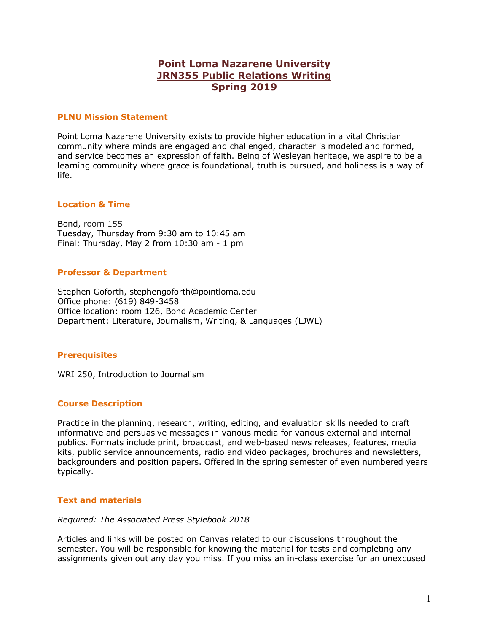# **Point Loma Nazarene University JRN355 Public Relations Writing Spring 2019**

#### **PLNU Mission Statement**

Point Loma Nazarene University exists to provide higher education in a vital Christian community where minds are engaged and challenged, character is modeled and formed, and service becomes an expression of faith. Being of Wesleyan heritage, we aspire to be a learning community where grace is foundational, truth is pursued, and holiness is a way of life.

#### **Location & Time**

Bond, room 155 Tuesday, Thursday from 9:30 am to 10:45 am Final: Thursday, May 2 from 10:30 am - 1 pm

#### **Professor & Department**

Stephen Goforth, stephengoforth@pointloma.edu Office phone: (619) 849-3458 Office location: room 126, Bond Academic Center Department: Literature, Journalism, Writing, & Languages (LJWL)

## **Prerequisites**

WRI 250, Introduction to Journalism

## **Course Description**

Practice in the planning, research, writing, editing, and evaluation skills needed to craft informative and persuasive messages in various media for various external and internal publics. Formats include print, broadcast, and web-based news releases, features, media kits, public service announcements, radio and video packages, brochures and newsletters, backgrounders and position papers. Offered in the spring semester of even numbered years typically.

#### **Text and materials**

#### *Required: The Associated Press Stylebook 2018*

Articles and links will be posted on Canvas related to our discussions throughout the semester. You will be responsible for knowing the material for tests and completing any assignments given out any day you miss. If you miss an in-class exercise for an unexcused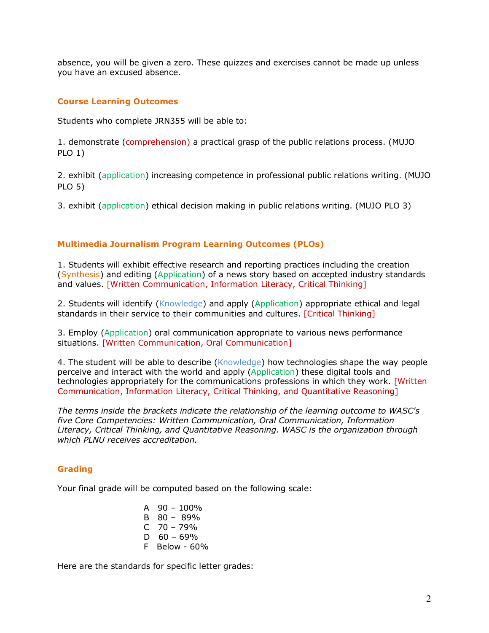absence, you will be given a zero. These quizzes and exercises cannot be made up unless you have an excused absence.

# **Course Learning Outcomes**

Students who complete JRN355 will be able to:

1. demonstrate (comprehension) a practical grasp of the public relations process. (MUJO PLO 1)

2. exhibit (application) increasing competence in professional public relations writing. (MUJO PLO 5)

3. exhibit (application) ethical decision making in public relations writing. (MUJO PLO 3)

# **Multimedia Journalism Program Learning Outcomes (PLOs)**

1. Students will exhibit effective research and reporting practices including the creation (Synthesis) and editing (Application) of a news story based on accepted industry standards and values. [Written Communication, Information Literacy, Critical Thinking]

2. Students will identify (Knowledge) and apply (Application) appropriate ethical and legal standards in their service to their communities and cultures. [Critical Thinking]

3. Employ (Application) oral communication appropriate to various news performance situations. [Written Communication, Oral Communication]

4. The student will be able to describe (Knowledge) how technologies shape the way people perceive and interact with the world and apply (Application) these digital tools and technologies appropriately for the communications professions in which they work. [Written Communication, Information Literacy, Critical Thinking, and Quantitative Reasoning]

*The terms inside the brackets indicate the relationship of the learning outcome to WASC's five Core Competencies: Written Communication, Oral Communication, Information Literacy, Critical Thinking, and Quantitative Reasoning. WASC is the organization through which PLNU receives accreditation.* 

# **Grading**

Your final grade will be computed based on the following scale:

- A  $90 100\%$ B 80 – 89%  $C$  70 – 79%  $D$  60 – 69%
- F Below 60%

Here are the standards for specific letter grades: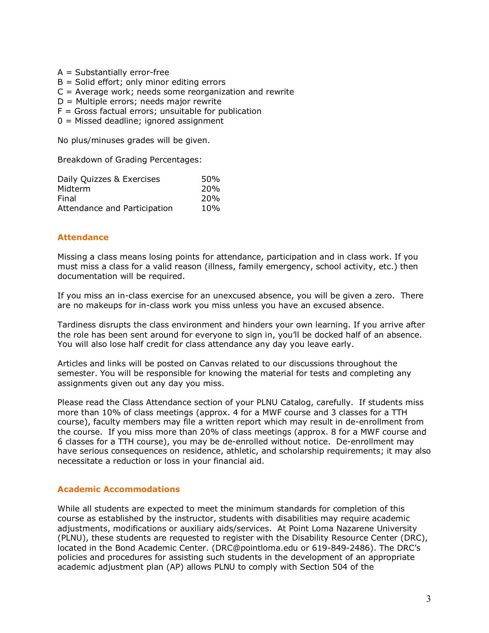- $A = Substantially error-free$
- $B =$  Solid effort; only minor editing errors
- $C =$  Average work; needs some reorganization and rewrite
- D = Multiple errors; needs major rewrite
- $F =$  Gross factual errors; unsuitable for publication
- $0 =$  Missed deadline; ignored assignment

No plus/minuses grades will be given.

Breakdown of Grading Percentages:

| Daily Quizzes & Exercises    | 50%             |
|------------------------------|-----------------|
| Midterm                      | 20 <sub>%</sub> |
| Final                        | 20 <sub>%</sub> |
| Attendance and Participation | 10%             |

# **Attendance**

Missing a class means losing points for attendance, participation and in class work. If you must miss a class for a valid reason (illness, family emergency, school activity, etc.) then documentation will be required.

If you miss an in-class exercise for an unexcused absence, you will be given a zero. There are no makeups for in-class work you miss unless you have an excused absence.

Tardiness disrupts the class environment and hinders your own learning. If you arrive after the role has been sent around for everyone to sign in, you'll be docked half of an absence. You will also lose half credit for class attendance any day you leave early.

Articles and links will be posted on Canvas related to our discussions throughout the semester. You will be responsible for knowing the material for tests and completing any assignments given out any day you miss.

Please read the Class Attendance section of your PLNU Catalog, carefully. If students miss more than 10% of class meetings (approx. 4 for a MWF course and 3 classes for a TTH course), faculty members may file a written report which may result in de-enrollment from the course. If you miss more than 20% of class meetings (approx. 8 for a MWF course and 6 classes for a TTH course), you may be de-enrolled without notice. De-enrollment may have serious consequences on residence, athletic, and scholarship requirements; it may also necessitate a reduction or loss in your financial aid.

## **Academic Accommodations**

While all students are expected to meet the minimum standards for completion of this course as established by the instructor, students with disabilities may require academic adjustments, modifications or auxiliary aids/services. At Point Loma Nazarene University (PLNU), these students are requested to register with the Disability Resource Center (DRC), located in the Bond Academic Center. (DRC@pointloma.edu or 619-849-2486). The DRC's policies and procedures for assisting such students in the development of an appropriate academic adjustment plan (AP) allows PLNU to comply with Section 504 of the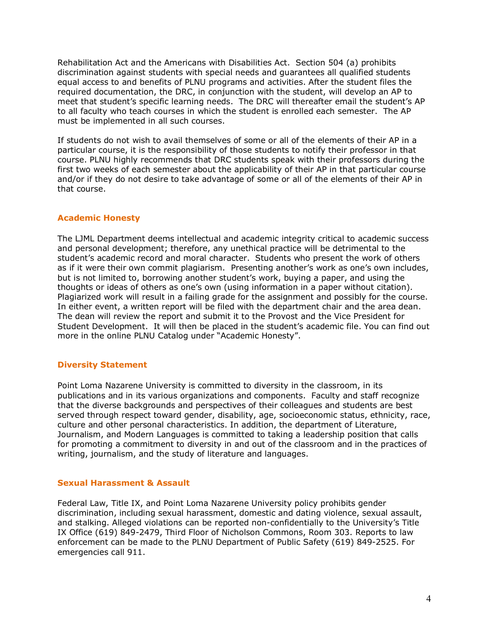Rehabilitation Act and the Americans with Disabilities Act. Section 504 (a) prohibits discrimination against students with special needs and guarantees all qualified students equal access to and benefits of PLNU programs and activities. After the student files the required documentation, the DRC, in conjunction with the student, will develop an AP to meet that student's specific learning needs. The DRC will thereafter email the student's AP to all faculty who teach courses in which the student is enrolled each semester. The AP must be implemented in all such courses.

If students do not wish to avail themselves of some or all of the elements of their AP in a particular course, it is the responsibility of those students to notify their professor in that course. PLNU highly recommends that DRC students speak with their professors during the first two weeks of each semester about the applicability of their AP in that particular course and/or if they do not desire to take advantage of some or all of the elements of their AP in that course.

# **Academic Honesty**

The LJML Department deems intellectual and academic integrity critical to academic success and personal development; therefore, any unethical practice will be detrimental to the student's academic record and moral character. Students who present the work of others as if it were their own commit plagiarism. Presenting another's work as one's own includes, but is not limited to, borrowing another student's work, buying a paper, and using the thoughts or ideas of others as one's own (using information in a paper without citation). Plagiarized work will result in a failing grade for the assignment and possibly for the course. In either event, a written report will be filed with the department chair and the area dean. The dean will review the report and submit it to the Provost and the Vice President for Student Development. It will then be placed in the student's academic file. You can find out more in the online PLNU Catalog under "Academic Honesty".

# **Diversity Statement**

Point Loma Nazarene University is committed to diversity in the classroom, in its publications and in its various organizations and components. Faculty and staff recognize that the diverse backgrounds and perspectives of their colleagues and students are best served through respect toward gender, disability, age, socioeconomic status, ethnicity, race, culture and other personal characteristics. In addition, the department of Literature, Journalism, and Modern Languages is committed to taking a leadership position that calls for promoting a commitment to diversity in and out of the classroom and in the practices of writing, journalism, and the study of literature and languages.

# **Sexual Harassment & Assault**

Federal Law, Title IX, and Point Loma Nazarene University policy prohibits gender discrimination, including sexual harassment, domestic and dating violence, sexual assault, and stalking. Alleged violations can be reported non-confidentially to the University's Title IX Office (619) 849-2479, Third Floor of Nicholson Commons, Room 303. Reports to law enforcement can be made to the PLNU Department of Public Safety (619) 849-2525. For emergencies call 911.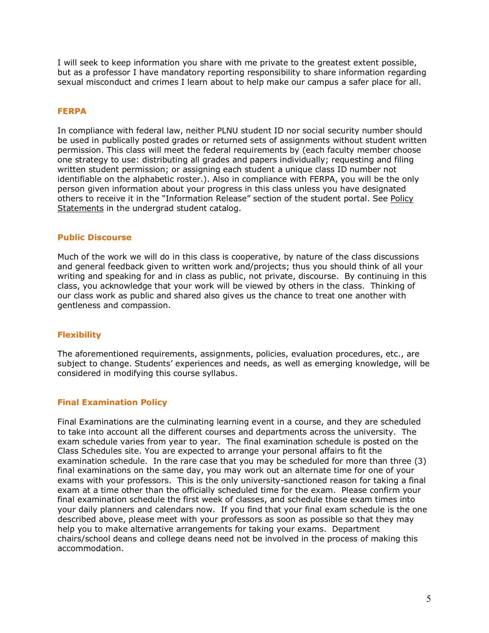I will seek to keep information you share with me private to the greatest extent possible, but as a professor I have mandatory reporting responsibility to share information regarding sexual misconduct and crimes I learn about to help make our campus a safer place for all.

# **FERPA**

In compliance with federal law, neither PLNU student ID nor social security number should be used in publically posted grades or returned sets of assignments without student written permission. This class will meet the federal requirements by (each faculty member choose one strategy to use: distributing all grades and papers individually; requesting and filing written student permission; or assigning each student a unique class ID number not identifiable on the alphabetic roster.). Also in compliance with FERPA, you will be the only person given information about your progress in this class unless you have designated others to receive it in the "Information Release" section of the student portal. See Policy Statements in the undergrad student catalog.

## **Public Discourse**

Much of the work we will do in this class is cooperative, by nature of the class discussions and general feedback given to written work and/projects; thus you should think of all your writing and speaking for and in class as public, not private, discourse. By continuing in this class, you acknowledge that your work will be viewed by others in the class. Thinking of our class work as public and shared also gives us the chance to treat one another with gentleness and compassion.

## **Flexibility**

The aforementioned requirements, assignments, policies, evaluation procedures, etc., are subject to change. Students' experiences and needs, as well as emerging knowledge, will be considered in modifying this course syllabus.

## **Final Examination Policy**

Final Examinations are the culminating learning event in a course, and they are scheduled to take into account all the different courses and departments across the university. The exam schedule varies from year to year. The final examination schedule is posted on the Class Schedules site. You are expected to arrange your personal affairs to fit the examination schedule. In the rare case that you may be scheduled for more than three (3) final examinations on the same day, you may work out an alternate time for one of your exams with your professors. This is the only university-sanctioned reason for taking a final exam at a time other than the officially scheduled time for the exam. Please confirm your final examination schedule the first week of classes, and schedule those exam times into your daily planners and calendars now. If you find that your final exam schedule is the one described above, please meet with your professors as soon as possible so that they may help you to make alternative arrangements for taking your exams. Department chairs/school deans and college deans need not be involved in the process of making this accommodation.